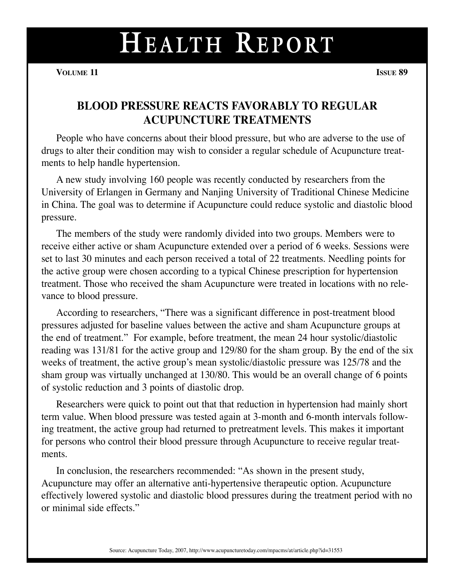## **HE A LT H RE P O R T**

**VOLUME 11 ISSUE 89**

## **BLOOD PRESSURE REACTS FAVORABLY TO REGULAR ACUPUNCTURE TREATMENTS**

People who have concerns about their blood pressure, but who are adverse to the use of drugs to alter their condition may wish to consider a regular schedule of Acupuncture treatments to help handle hypertension.

A new study involving 160 people was recently conducted by researchers from the University of Erlangen in Germany and Nanjing University of Traditional Chinese Medicine in China. The goal was to determine if Acupuncture could reduce systolic and diastolic blood pressure.

The members of the study were randomly divided into two groups. Members were to receive either active or sham Acupuncture extended over a period of 6 weeks. Sessions were set to last 30 minutes and each person received a total of 22 treatments. Needling points for the active group were chosen according to a typical Chinese prescription for hypertension treatment. Those who received the sham Acupuncture were treated in locations with no relevance to blood pressure.

According to researchers, "There was a significant difference in post-treatment blood pressures adjusted for baseline values between the active and sham Acupuncture groups at the end of treatment." For example, before treatment, the mean 24 hour systolic/diastolic reading was 131/81 for the active group and 129/80 for the sham group. By the end of the six weeks of treatment, the active group's mean systolic/diastolic pressure was 125/78 and the sham group was virtually unchanged at 130/80. This would be an overall change of 6 points of systolic reduction and 3 points of diastolic drop.

Researchers were quick to point out that that reduction in hypertension had mainly short term value. When blood pressure was tested again at 3-month and 6-month intervals following treatment, the active group had returned to pretreatment levels. This makes it important for persons who control their blood pressure through Acupuncture to receive regular treatments.

In conclusion, the researchers recommended: "As shown in the present study, Acupuncture may offer an alternative anti-hypertensive therapeutic option. Acupuncture effectively lowered systolic and diastolic blood pressures during the treatment period with no or minimal side effects."

Source: Acupuncture Today, 2007, http://www.acupuncturetoday.com/mpacms/at/article.php?id=31553